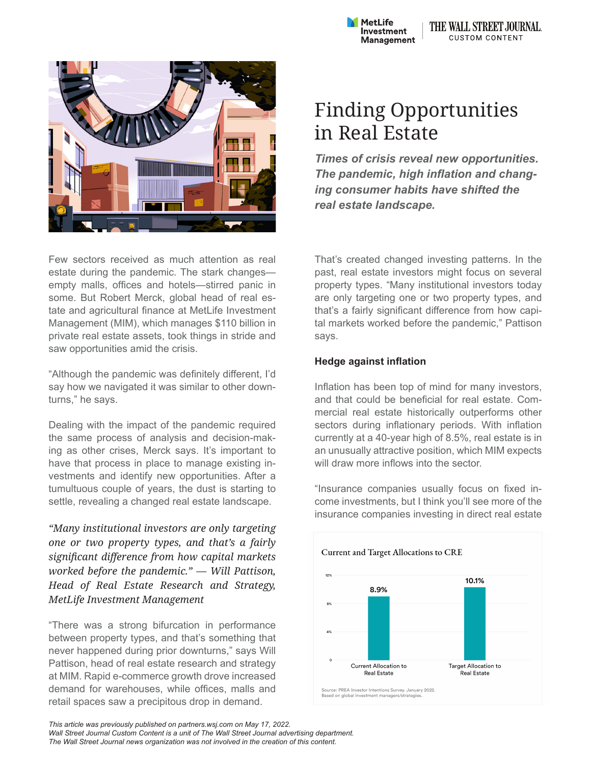



Few sectors received as much attention as real estate during the pandemic. The stark changes empty malls, offices and hotels—stirred panic in some. But Robert Merck, global head of real estate and agricultural finance at MetLife Investment Management (MIM), which manages \$110 billion in private real estate assets, took things in stride and saw opportunities amid the crisis.

"Although the pandemic was definitely different, I'd say how we navigated it was similar to other downturns," he says.

Dealing with the impact of the pandemic required the same process of analysis and decision-making as other crises, Merck says. It's important to have that process in place to manage existing investments and identify new opportunities. After a tumultuous couple of years, the dust is starting to settle, revealing a changed real estate landscape.

*"Many institutional investors are only targeting one or two property types, and that's a fairly significant difference from how capital markets worked before the pandemic." — Will Pattison, Head of Real Estate Research and Strategy, MetLife Investment Management*

"There was a strong bifurcation in performance between property types, and that's something that never happened during prior downturns," says Will Pattison, head of real estate research and strategy at MIM. Rapid e-commerce growth drove increased demand for warehouses, while offices, malls and retail spaces saw a precipitous drop in demand.

# Finding Opportunities in Real Estate

*Times of crisis reveal new opportunities. The pandemic, high inflation and changing consumer habits have shifted the real estate landscape.*

That's created changed investing patterns. In the past, real estate investors might focus on several property types. "Many institutional investors today are only targeting one or two property types, and that's a fairly significant difference from how capital markets worked before the pandemic," Pattison says.

### **Hedge against inflation**

Inflation has been top of mind for many investors, and that could be beneficial for real estate. Commercial real estate historically outperforms other sectors during inflationary periods. With inflation currently at a 40-year high of 8.5%, real estate is in an unusually attractive position, which MIM expects will draw more inflows into the sector.

"Insurance companies usually focus on fixed income investments, but I think you'll see more of the insurance companies investing in direct real estate

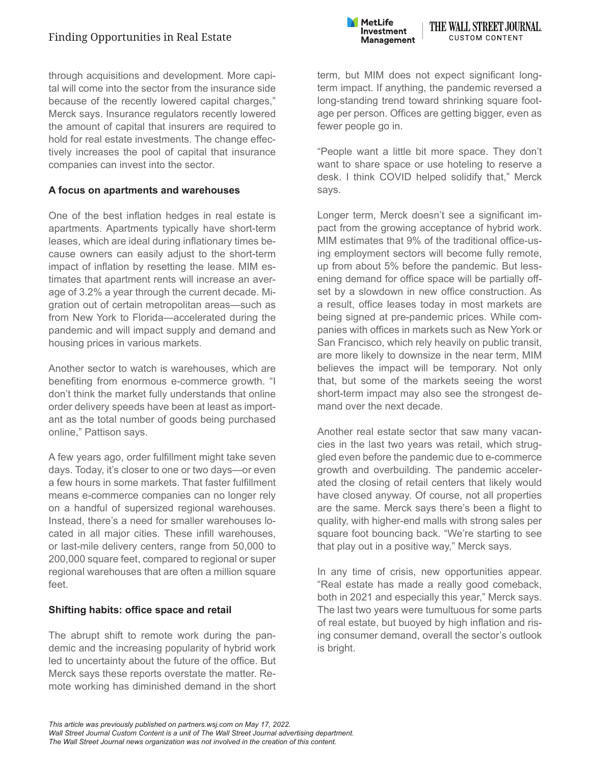## Finding Opportunities in Real Estate

through acquisitions and development. More capital will come into the sector from the insurance side because of the recently lowered capital charges," Merck says. Insurance regulators recently lowered the amount of capital that insurers are required to hold for real estate investments. The change effectively increases the pool of capital that insurance companies can invest into the sector.

#### **A focus on apartments and warehouses**

One of the best inflation hedges in real estate is apartments. Apartments typically have short-term leases, which are ideal during inflationary times because owners can easily adjust to the short-term impact of inflation by resetting the lease. MIM estimates that apartment rents will increase an average of 3.2% a year through the current decade. Migration out of certain metropolitan areas—such as from New York to Florida—accelerated during the pandemic and will impact supply and demand and housing prices in various markets.

Another sector to watch is warehouses, which are benefiting from enormous e-commerce growth. "I don't think the market fully understands that online order delivery speeds have been at least as important as the total number of goods being purchased online," Pattison says.

A few years ago, order fulfillment might take seven days. Today, it's closer to one or two days—or even a few hours in some markets. That faster fulfillment means e-commerce companies can no longer rely on a handful of supersized regional warehouses. Instead, there's a need for smaller warehouses located in all major cities. These infill warehouses, or last-mile delivery centers, range from 50,000 to 200,000 square feet, compared to regional or super regional warehouses that are often a million square feet.

#### **Shifting habits: office space and retail**

The abrupt shift to remote work during the pandemic and the increasing popularity of hybrid work led to uncertainty about the future of the office. But Merck says these reports overstate the matter. Remote working has diminished demand in the short

term, but MIM does not expect significant longterm impact. If anything, the pandemic reversed a long-standing trend toward shrinking square footage per person. Offices are getting bigger, even as fewer people go in.

THE WALL STREET JOURNAL.

**CUSTOM CONTENT** 

**MetLife** 

Investment

**Management** 

"People want a little bit more space. They don't want to share space or use hoteling to reserve a desk. I think COVID helped solidify that," Merck says.

Longer term, Merck doesn't see a significant impact from the growing acceptance of hybrid work. MIM estimates that 9% of the traditional office-using employment sectors will become fully remote, up from about 5% before the pandemic. But lessening demand for office space will be partially offset by a slowdown in new office construction. As a result, office leases today in most markets are being signed at pre-pandemic prices. While companies with offices in markets such as New York or San Francisco, which rely heavily on public transit, are more likely to downsize in the near term, MIM believes the impact will be temporary. Not only that, but some of the markets seeing the worst short-term impact may also see the strongest demand over the next decade.

Another real estate sector that saw many vacancies in the last two years was retail, which struggled even before the pandemic due to e-commerce growth and overbuilding. The pandemic accelerated the closing of retail centers that likely would have closed anyway. Of course, not all properties are the same. Merck says there's been a flight to quality, with higher-end malls with strong sales per square foot bouncing back. "We're starting to see that play out in a positive way," Merck says.

In any time of crisis, new opportunities appear. "Real estate has made a really good comeback, both in 2021 and especially this year," Merck says. The last two years were tumultuous for some parts of real estate, but buoyed by high inflation and rising consumer demand, overall the sector's outlook is bright.